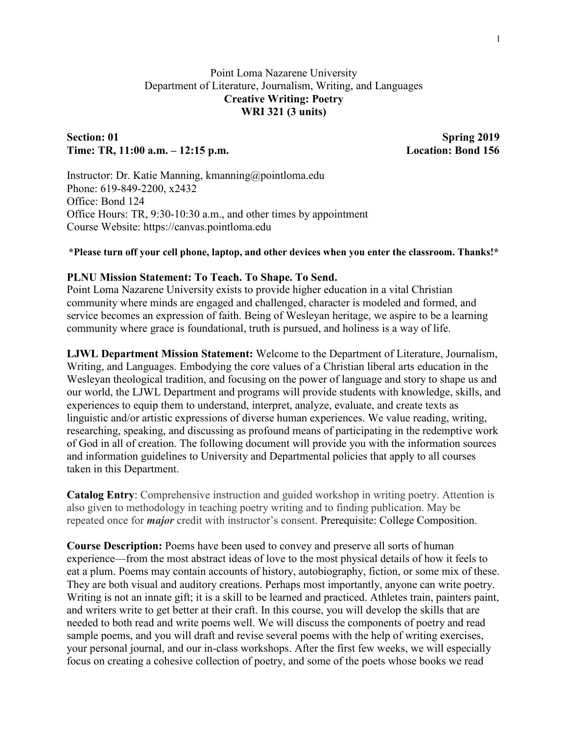# Point Loma Nazarene University Department of Literature, Journalism, Writing, and Languages **Creative Writing: Poetry WRI 321 (3 units)**

# Section: 01 Spring 2019 **Time: TR, 11:00 a.m. – 12:15 p.m. Location: Bond 156**

Instructor: Dr. Katie Manning, kmanning@pointloma.edu Phone: 619-849-2200, x2432 Office: Bond 124 Office Hours: TR, 9:30-10:30 a.m., and other times by appointment Course Website: https://canvas.pointloma.edu

#### **\*Please turn off your cell phone, laptop, and other devices when you enter the classroom. Thanks!\***

#### **PLNU Mission Statement: To Teach. To Shape. To Send.**

Point Loma Nazarene University exists to provide higher education in a vital Christian community where minds are engaged and challenged, character is modeled and formed, and service becomes an expression of faith. Being of Wesleyan heritage, we aspire to be a learning community where grace is foundational, truth is pursued, and holiness is a way of life.

**LJWL Department Mission Statement:** Welcome to the Department of Literature, Journalism, Writing, and Languages. Embodying the core values of a Christian liberal arts education in the Wesleyan theological tradition, and focusing on the power of language and story to shape us and our world, the LJWL Department and programs will provide students with knowledge, skills, and experiences to equip them to understand, interpret, analyze, evaluate, and create texts as linguistic and/or artistic expressions of diverse human experiences. We value reading, writing, researching, speaking, and discussing as profound means of participating in the redemptive work of God in all of creation. The following document will provide you with the information sources and information guidelines to University and Departmental policies that apply to all courses taken in this Department.

**Catalog Entry**: Comprehensive instruction and guided workshop in writing poetry. Attention is also given to methodology in teaching poetry writing and to finding publication. May be repeated once for *major* credit with instructor's consent. Prerequisite: College Composition.

**Course Description:** Poems have been used to convey and preserve all sorts of human experience—from the most abstract ideas of love to the most physical details of how it feels to eat a plum. Poems may contain accounts of history, autobiography, fiction, or some mix of these. They are both visual and auditory creations. Perhaps most importantly, anyone can write poetry. Writing is not an innate gift; it is a skill to be learned and practiced. Athletes train, painters paint, and writers write to get better at their craft. In this course, you will develop the skills that are needed to both read and write poems well. We will discuss the components of poetry and read sample poems, and you will draft and revise several poems with the help of writing exercises, your personal journal, and our in-class workshops. After the first few weeks, we will especially focus on creating a cohesive collection of poetry, and some of the poets whose books we read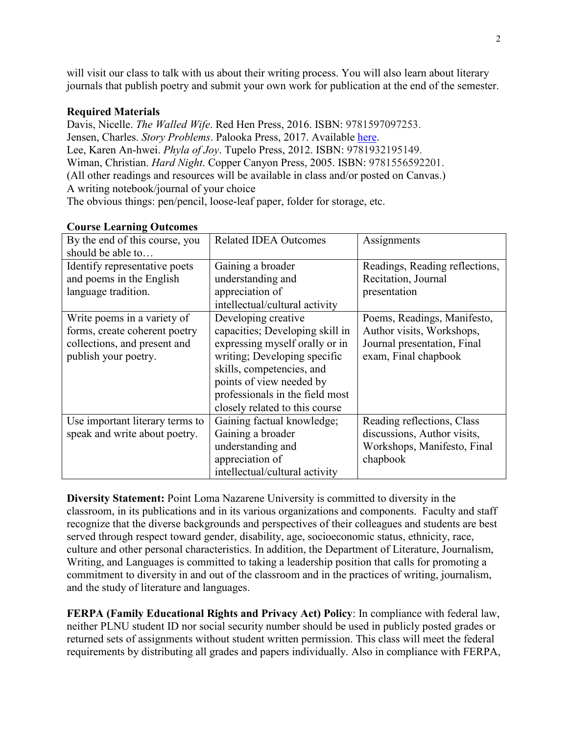will visit our class to talk with us about their writing process. You will also learn about literary journals that publish poetry and submit your own work for publication at the end of the semester.

## **Required Materials**

Davis, Nicelle. *The Walled Wife*. Red Hen Press, 2016. ISBN: 9781597097253. Jensen, Charles. *Story Problems*. Palooka Press, 2017. Available [here.](http://palookamag.com/chapbooks) Lee, Karen An-hwei. *Phyla of Joy*. Tupelo Press, 2012. ISBN: 9781932195149. Wiman, Christian. *Hard Night*. Copper Canyon Press, 2005. ISBN: 9781556592201. (All other readings and resources will be available in class and/or posted on Canvas.) A writing notebook/journal of your choice The obvious things: pen/pencil, loose-leaf paper, folder for storage, etc.

| By the end of this course, you  | <b>Related IDEA Outcomes</b>    | Assignments                    |
|---------------------------------|---------------------------------|--------------------------------|
| should be able to               |                                 |                                |
| Identify representative poets   | Gaining a broader               | Readings, Reading reflections, |
| and poems in the English        | understanding and               | Recitation, Journal            |
| language tradition.             | appreciation of                 | presentation                   |
|                                 | intellectual/cultural activity  |                                |
| Write poems in a variety of     | Developing creative             | Poems, Readings, Manifesto,    |
| forms, create coherent poetry   | capacities; Developing skill in | Author visits, Workshops,      |
| collections, and present and    | expressing myself orally or in  | Journal presentation, Final    |
| publish your poetry.            | writing; Developing specific    | exam, Final chapbook           |
|                                 | skills, competencies, and       |                                |
|                                 | points of view needed by        |                                |
|                                 | professionals in the field most |                                |
|                                 | closely related to this course  |                                |
| Use important literary terms to | Gaining factual knowledge;      | Reading reflections, Class     |
| speak and write about poetry.   | Gaining a broader               | discussions, Author visits,    |
|                                 | understanding and               | Workshops, Manifesto, Final    |
|                                 | appreciation of                 | chapbook                       |
|                                 | intellectual/cultural activity  |                                |

### **Course Learning Outcomes**

**Diversity Statement:** Point Loma Nazarene University is committed to diversity in the classroom, in its publications and in its various organizations and components. Faculty and staff recognize that the diverse backgrounds and perspectives of their colleagues and students are best served through respect toward gender, disability, age, socioeconomic status, ethnicity, race, culture and other personal characteristics. In addition, the Department of Literature, Journalism, Writing, and Languages is committed to taking a leadership position that calls for promoting a commitment to diversity in and out of the classroom and in the practices of writing, journalism, and the study of literature and languages.

**FERPA (Family Educational Rights and Privacy Act) Policy**: In compliance with federal law, neither PLNU student ID nor social security number should be used in publicly posted grades or returned sets of assignments without student written permission. This class will meet the federal requirements by distributing all grades and papers individually. Also in compliance with FERPA,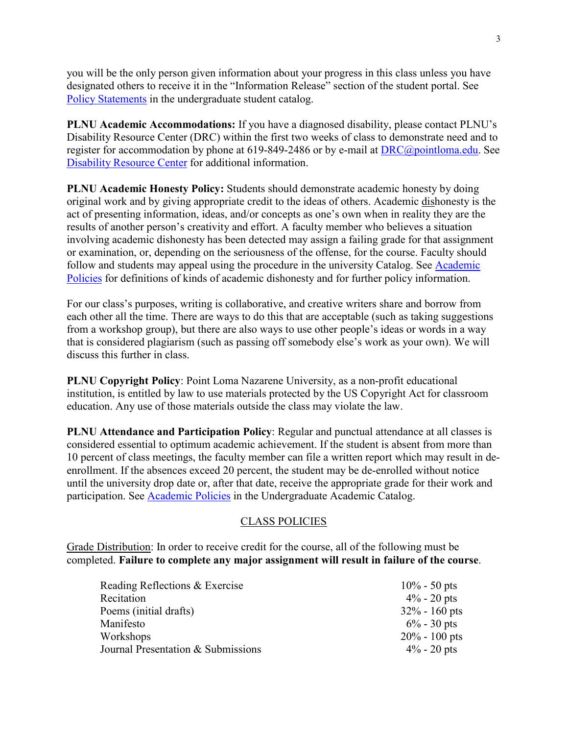you will be the only person given information about your progress in this class unless you have designated others to receive it in the "Information Release" section of the student portal. See [Policy Statements](http://catalog.pointloma.edu/content.php?catoid=8&navoid=864) in the undergraduate student catalog.

**PLNU Academic Accommodations:** If you have a diagnosed disability, please contact PLNU's Disability Resource Center (DRC) within the first two weeks of class to demonstrate need and to register for accommodation by phone at 619-849-2486 or by e-mail at [DRC@pointloma.edu.](mailto:DRC@pointloma.edu) See [Disability Resource Center](http://www.pointloma.edu/experience/offices/administrative-offices/academic-advising-office/disability-resource-center) for additional information.

**PLNU Academic Honesty Policy:** Students should demonstrate academic honesty by doing original work and by giving appropriate credit to the ideas of others. Academic dishonesty is the act of presenting information, ideas, and/or concepts as one's own when in reality they are the results of another person's creativity and effort. A faculty member who believes a situation involving academic dishonesty has been detected may assign a failing grade for that assignment or examination, or, depending on the seriousness of the offense, for the course. Faculty should follow and students may appeal using the procedure in the university Catalog. See [Academic](http://catalog.pointloma.edu/content.php?catoid=18&navoid=1278)  [Policies](http://catalog.pointloma.edu/content.php?catoid=18&navoid=1278) for definitions of kinds of academic dishonesty and for further policy information.

For our class's purposes, writing is collaborative, and creative writers share and borrow from each other all the time. There are ways to do this that are acceptable (such as taking suggestions from a workshop group), but there are also ways to use other people's ideas or words in a way that is considered plagiarism (such as passing off somebody else's work as your own). We will discuss this further in class.

**PLNU Copyright Policy**: Point Loma Nazarene University, as a non-profit educational institution, is entitled by law to use materials protected by the US Copyright Act for classroom education. Any use of those materials outside the class may violate the law.

**PLNU Attendance and Participation Policy**: Regular and punctual attendance at all classes is considered essential to optimum academic achievement. If the student is absent from more than 10 percent of class meetings, the faculty member can file a written report which may result in deenrollment. If the absences exceed 20 percent, the student may be de-enrolled without notice until the university drop date or, after that date, receive the appropriate grade for their work and participation. See [Academic Policies](http://catalog.pointloma.edu/content.php?catoid=18&navoid=1278) in the Undergraduate Academic Catalog.

### CLASS POLICIES

Grade Distribution: In order to receive credit for the course, all of the following must be completed. **Failure to complete any major assignment will result in failure of the course**.

| Reading Reflections & Exercise     | $10\% - 50$ pts  |
|------------------------------------|------------------|
| Recitation                         | $4\%$ - 20 pts   |
| Poems (initial drafts)             | $32\% - 160$ pts |
| Manifesto                          | $6\%$ - 30 pts   |
| Workshops                          | $20\% - 100$ pts |
| Journal Presentation & Submissions | $4\%$ - 20 pts   |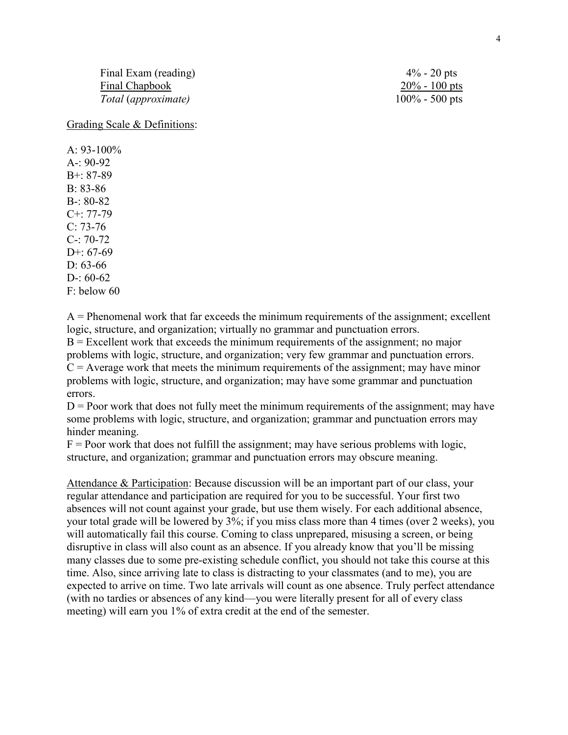Final Exam (reading)  $4\% - 20$  pts Final Chapbook 20% - 100 pts<br>
Total (approximate) 20% - 20% - 20% - 20% bts  $Total$  (*approximate*)

Grading Scale & Definitions:

 $A.93-100\%$ A-: 90-92 B+: 87-89 B: 83-86 B-: 80-82 C+: 77-79 C: 73-76 C-: 70-72 D+: 67-69  $D: 63-66$ D-:  $60-62$ F: below 60

 $A =$  Phenomenal work that far exceeds the minimum requirements of the assignment; excellent logic, structure, and organization; virtually no grammar and punctuation errors.  $B =$  Excellent work that exceeds the minimum requirements of the assignment; no major problems with logic, structure, and organization; very few grammar and punctuation errors.  $C =$  Average work that meets the minimum requirements of the assignment; may have minor problems with logic, structure, and organization; may have some grammar and punctuation errors.

 $D =$  Poor work that does not fully meet the minimum requirements of the assignment; may have some problems with logic, structure, and organization; grammar and punctuation errors may hinder meaning.

 $F =$  Poor work that does not fulfill the assignment; may have serious problems with logic, structure, and organization; grammar and punctuation errors may obscure meaning.

Attendance & Participation: Because discussion will be an important part of our class, your regular attendance and participation are required for you to be successful. Your first two absences will not count against your grade, but use them wisely. For each additional absence, your total grade will be lowered by 3%; if you miss class more than 4 times (over 2 weeks), you will automatically fail this course. Coming to class unprepared, misusing a screen, or being disruptive in class will also count as an absence. If you already know that you'll be missing many classes due to some pre-existing schedule conflict, you should not take this course at this time. Also, since arriving late to class is distracting to your classmates (and to me), you are expected to arrive on time. Two late arrivals will count as one absence. Truly perfect attendance (with no tardies or absences of any kind—you were literally present for all of every class meeting) will earn you 1% of extra credit at the end of the semester.

4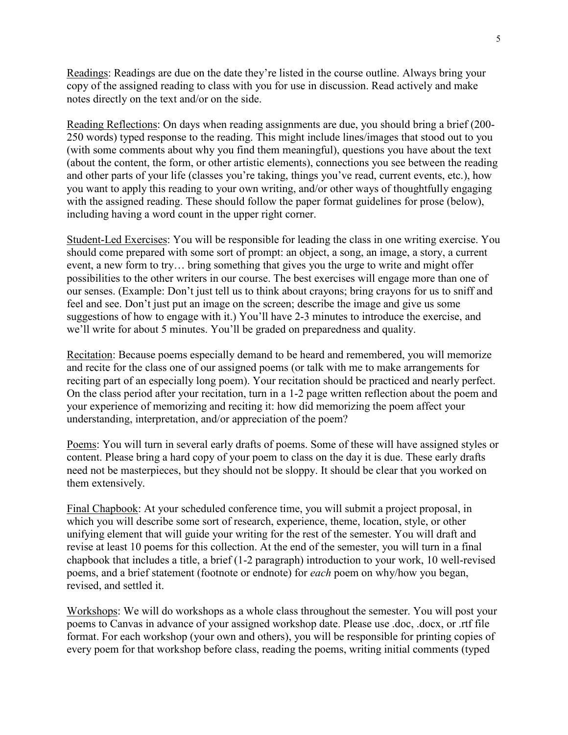Readings: Readings are due on the date they're listed in the course outline. Always bring your copy of the assigned reading to class with you for use in discussion. Read actively and make notes directly on the text and/or on the side.

Reading Reflections: On days when reading assignments are due, you should bring a brief (200- 250 words) typed response to the reading. This might include lines/images that stood out to you (with some comments about why you find them meaningful), questions you have about the text (about the content, the form, or other artistic elements), connections you see between the reading and other parts of your life (classes you're taking, things you've read, current events, etc.), how you want to apply this reading to your own writing, and/or other ways of thoughtfully engaging with the assigned reading. These should follow the paper format guidelines for prose (below), including having a word count in the upper right corner.

Student-Led Exercises: You will be responsible for leading the class in one writing exercise. You should come prepared with some sort of prompt: an object, a song, an image, a story, a current event, a new form to try… bring something that gives you the urge to write and might offer possibilities to the other writers in our course. The best exercises will engage more than one of our senses. (Example: Don't just tell us to think about crayons; bring crayons for us to sniff and feel and see. Don't just put an image on the screen; describe the image and give us some suggestions of how to engage with it.) You'll have 2-3 minutes to introduce the exercise, and we'll write for about 5 minutes. You'll be graded on preparedness and quality.

Recitation: Because poems especially demand to be heard and remembered, you will memorize and recite for the class one of our assigned poems (or talk with me to make arrangements for reciting part of an especially long poem). Your recitation should be practiced and nearly perfect. On the class period after your recitation, turn in a 1-2 page written reflection about the poem and your experience of memorizing and reciting it: how did memorizing the poem affect your understanding, interpretation, and/or appreciation of the poem?

Poems: You will turn in several early drafts of poems. Some of these will have assigned styles or content. Please bring a hard copy of your poem to class on the day it is due. These early drafts need not be masterpieces, but they should not be sloppy. It should be clear that you worked on them extensively.

Final Chapbook: At your scheduled conference time, you will submit a project proposal, in which you will describe some sort of research, experience, theme, location, style, or other unifying element that will guide your writing for the rest of the semester. You will draft and revise at least 10 poems for this collection. At the end of the semester, you will turn in a final chapbook that includes a title, a brief (1-2 paragraph) introduction to your work, 10 well-revised poems, and a brief statement (footnote or endnote) for *each* poem on why/how you began, revised, and settled it.

Workshops: We will do workshops as a whole class throughout the semester. You will post your poems to Canvas in advance of your assigned workshop date. Please use .doc, .docx, or .rtf file format. For each workshop (your own and others), you will be responsible for printing copies of every poem for that workshop before class, reading the poems, writing initial comments (typed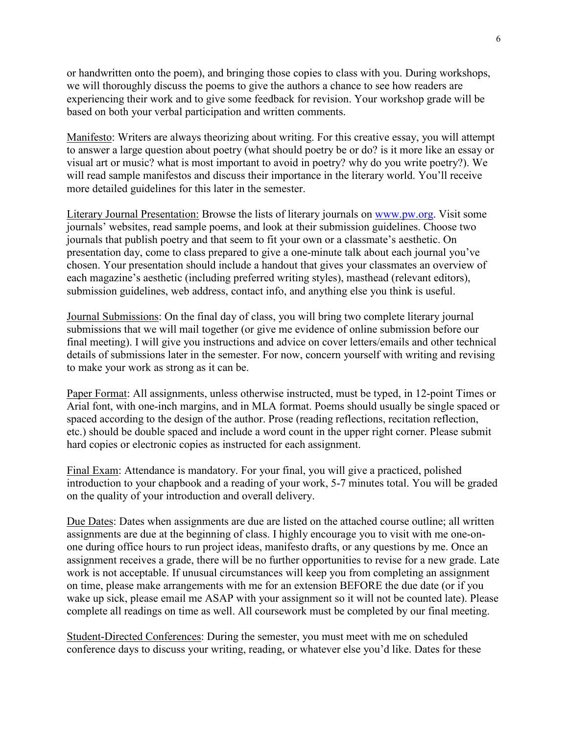or handwritten onto the poem), and bringing those copies to class with you. During workshops, we will thoroughly discuss the poems to give the authors a chance to see how readers are experiencing their work and to give some feedback for revision. Your workshop grade will be based on both your verbal participation and written comments.

Manifesto: Writers are always theorizing about writing. For this creative essay, you will attempt to answer a large question about poetry (what should poetry be or do? is it more like an essay or visual art or music? what is most important to avoid in poetry? why do you write poetry?). We will read sample manifestos and discuss their importance in the literary world. You'll receive more detailed guidelines for this later in the semester.

Literary Journal Presentation: Browse the lists of literary journals on [www.pw.org.](http://www.pw.org/) Visit some journals' websites, read sample poems, and look at their submission guidelines. Choose two journals that publish poetry and that seem to fit your own or a classmate's aesthetic. On presentation day, come to class prepared to give a one-minute talk about each journal you've chosen. Your presentation should include a handout that gives your classmates an overview of each magazine's aesthetic (including preferred writing styles), masthead (relevant editors), submission guidelines, web address, contact info, and anything else you think is useful.

Journal Submissions: On the final day of class, you will bring two complete literary journal submissions that we will mail together (or give me evidence of online submission before our final meeting). I will give you instructions and advice on cover letters/emails and other technical details of submissions later in the semester. For now, concern yourself with writing and revising to make your work as strong as it can be.

Paper Format: All assignments, unless otherwise instructed, must be typed, in 12-point Times or Arial font, with one-inch margins, and in MLA format. Poems should usually be single spaced or spaced according to the design of the author. Prose (reading reflections, recitation reflection, etc.) should be double spaced and include a word count in the upper right corner. Please submit hard copies or electronic copies as instructed for each assignment.

Final Exam: Attendance is mandatory. For your final, you will give a practiced, polished introduction to your chapbook and a reading of your work, 5-7 minutes total. You will be graded on the quality of your introduction and overall delivery.

Due Dates: Dates when assignments are due are listed on the attached course outline; all written assignments are due at the beginning of class. I highly encourage you to visit with me one-onone during office hours to run project ideas, manifesto drafts, or any questions by me. Once an assignment receives a grade, there will be no further opportunities to revise for a new grade. Late work is not acceptable. If unusual circumstances will keep you from completing an assignment on time, please make arrangements with me for an extension BEFORE the due date (or if you wake up sick, please email me ASAP with your assignment so it will not be counted late). Please complete all readings on time as well. All coursework must be completed by our final meeting.

Student-Directed Conferences: During the semester, you must meet with me on scheduled conference days to discuss your writing, reading, or whatever else you'd like. Dates for these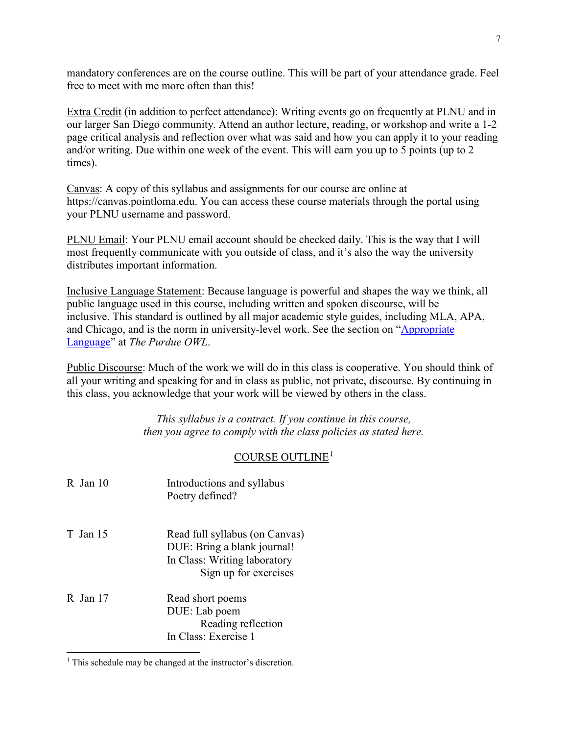mandatory conferences are on the course outline. This will be part of your attendance grade. Feel free to meet with me more often than this!

Extra Credit (in addition to perfect attendance): Writing events go on frequently at PLNU and in our larger San Diego community. Attend an author lecture, reading, or workshop and write a 1-2 page critical analysis and reflection over what was said and how you can apply it to your reading and/or writing. Due within one week of the event. This will earn you up to 5 points (up to 2 times).

Canvas: A copy of this syllabus and assignments for our course are online at https://canvas.pointloma.edu. You can access these course materials through the portal using your PLNU username and password.

PLNU Email: Your PLNU email account should be checked daily. This is the way that I will most frequently communicate with you outside of class, and it's also the way the university distributes important information.

Inclusive Language Statement: Because language is powerful and shapes the way we think, all public language used in this course, including written and spoken discourse, will be inclusive. This standard is outlined by all major academic style guides, including MLA, APA, and Chicago, and is the norm in university-level work. See the section on ["Appropriate](https://owl.purdue.edu/owl/general_writing/academic_writing/using_appropriate_language/index.html)  [Language"](https://owl.purdue.edu/owl/general_writing/academic_writing/using_appropriate_language/index.html) at *The Purdue OWL*.

Public Discourse: Much of the work we will do in this class is cooperative. You should think of all your writing and speaking for and in class as public, not private, discourse. By continuing in this class, you acknowledge that your work will be viewed by others in the class.

> *This syllabus is a contract. If you continue in this course, then you agree to comply with the class policies as stated here.*

# COURSE OUTLINE<sup>[1](#page-6-0)</sup>

| $R$ Jan 10 | Introductions and syllabus<br>Poetry defined?                                                                          |
|------------|------------------------------------------------------------------------------------------------------------------------|
| T Jan 15   | Read full syllabus (on Canvas)<br>DUE: Bring a blank journal!<br>In Class: Writing laboratory<br>Sign up for exercises |
| $R$ Jan 17 | Read short poems<br>DUE: Lab poem<br>Reading reflection<br>In Class: Exercise 1                                        |

<span id="page-6-0"></span><sup>&</sup>lt;sup>1</sup> This schedule may be changed at the instructor's discretion.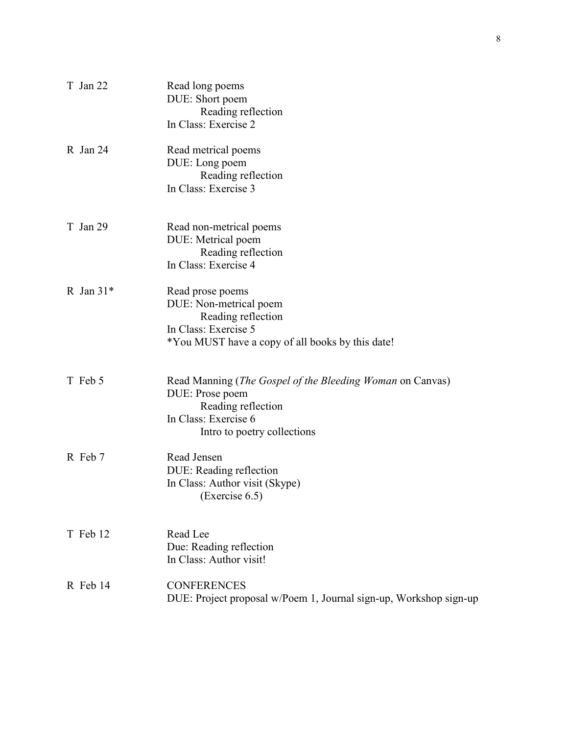| T Jan 22    | Read long poems<br>DUE: Short poem<br>Reading reflection<br>In Class: Exercise 2                                                                                  |
|-------------|-------------------------------------------------------------------------------------------------------------------------------------------------------------------|
| R Jan 24    | Read metrical poems<br>DUE: Long poem<br>Reading reflection<br>In Class: Exercise 3                                                                               |
| T Jan 29    | Read non-metrical poems<br>DUE: Metrical poem<br>Reading reflection<br>In Class: Exercise 4                                                                       |
| R Jan $31*$ | Read prose poems<br>DUE: Non-metrical poem<br>Reading reflection<br>In Class: Exercise 5<br>*You MUST have a copy of all books by this date!                      |
| T Feb 5     | Read Manning ( <i>The Gospel of the Bleeding Woman</i> on Canvas)<br>DUE: Prose poem<br>Reading reflection<br>In Class: Exercise 6<br>Intro to poetry collections |
| R Feb 7     | Read Jensen<br>DUE: Reading reflection<br>In Class: Author visit (Skype)<br>(Exercise $6.5$ )                                                                     |
| T Feb 12    | Read Lee<br>Due: Reading reflection<br>In Class: Author visit!                                                                                                    |
| R Feb 14    | <b>CONFERENCES</b><br>DUE: Project proposal w/Poem 1, Journal sign-up, Workshop sign-up                                                                           |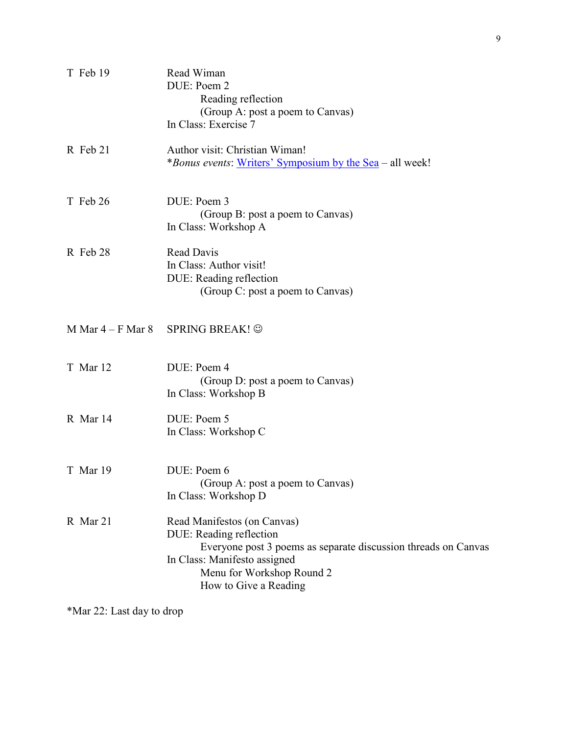| T Feb 19            | Read Wiman<br>DUE: Poem 2<br>Reading reflection<br>(Group A: post a poem to Canvas)<br>In Class: Exercise 7                                                                                                    |
|---------------------|----------------------------------------------------------------------------------------------------------------------------------------------------------------------------------------------------------------|
| R Feb 21            | Author visit: Christian Wiman!<br><i>*Bonus events:</i> Writers' Symposium by the Sea – all week!                                                                                                              |
| T Feb 26            | DUE: Poem 3<br>(Group B: post a poem to Canvas)<br>In Class: Workshop A                                                                                                                                        |
| R Feb 28            | Read Davis<br>In Class: Author visit!<br>DUE: Reading reflection<br>(Group C: post a poem to Canvas)                                                                                                           |
| M Mar $4-F$ Mar $8$ | SPRING BREAK! ©                                                                                                                                                                                                |
| T Mar 12            | DUE: Poem 4<br>(Group D: post a poem to Canvas)<br>In Class: Workshop B                                                                                                                                        |
| R Mar 14            | DUE: Poem 5<br>In Class: Workshop C                                                                                                                                                                            |
| T Mar 19            | DUE: Poem 6<br>(Group A: post a poem to Canvas)<br>In Class: Workshop D                                                                                                                                        |
| R Mar 21            | Read Manifestos (on Canvas)<br>DUE: Reading reflection<br>Everyone post 3 poems as separate discussion threads on Canvas<br>In Class: Manifesto assigned<br>Menu for Workshop Round 2<br>How to Give a Reading |

\*Mar 22: Last day to drop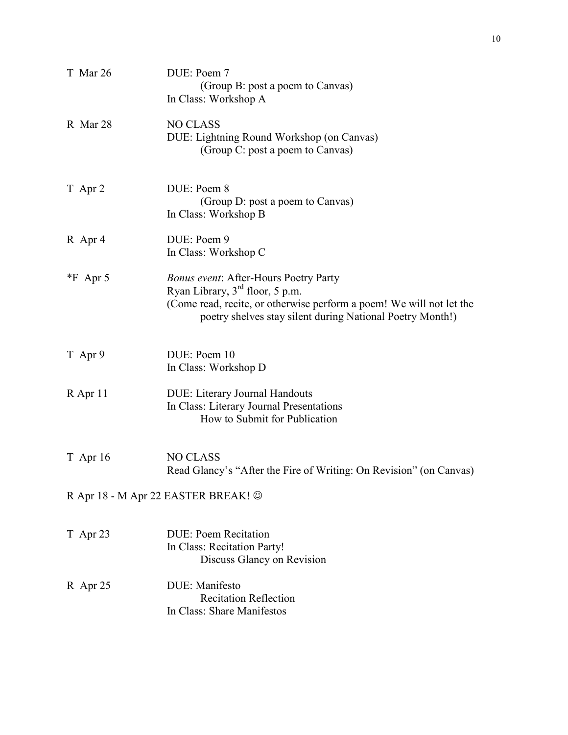| T Mar 26   | DUE: Poem 7<br>(Group B: post a poem to Canvas)<br>In Class: Workshop A                                                                                                                                                |
|------------|------------------------------------------------------------------------------------------------------------------------------------------------------------------------------------------------------------------------|
| R Mar 28   | <b>NO CLASS</b><br>DUE: Lightning Round Workshop (on Canvas)<br>(Group C: post a poem to Canvas)                                                                                                                       |
| T Apr 2    | DUE: Poem 8<br>(Group D: post a poem to Canvas)<br>In Class: Workshop B                                                                                                                                                |
| R Apr 4    | DUE: Poem 9<br>In Class: Workshop C                                                                                                                                                                                    |
| $*F$ Apr 5 | <b>Bonus event: After-Hours Poetry Party</b><br>Ryan Library, $3rd$ floor, 5 p.m.<br>(Come read, recite, or otherwise perform a poem! We will not let the<br>poetry shelves stay silent during National Poetry Month!) |
| T Apr 9    | DUE: Poem 10<br>In Class: Workshop D                                                                                                                                                                                   |
| R Apr 11   | <b>DUE: Literary Journal Handouts</b><br>In Class: Literary Journal Presentations<br>How to Submit for Publication                                                                                                     |
| $T$ Apr 16 | <b>NO CLASS</b><br>Read Glancy's "After the Fire of Writing: On Revision" (on Canvas)                                                                                                                                  |
|            | R Apr 18 - M Apr 22 EASTER BREAK! ©                                                                                                                                                                                    |
| T Apr 23   | <b>DUE: Poem Recitation</b><br>In Class: Recitation Party!<br>Discuss Glancy on Revision                                                                                                                               |
| $R$ Apr 25 | DUE: Manifesto<br><b>Recitation Reflection</b><br>In Class: Share Manifestos                                                                                                                                           |
|            |                                                                                                                                                                                                                        |